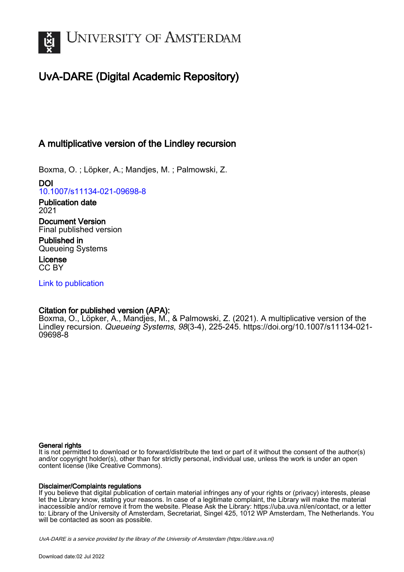

# UvA-DARE (Digital Academic Repository)

# A multiplicative version of the Lindley recursion

Boxma, O. ; Löpker, A.; Mandjes, M. ; Palmowski, Z.

DOI [10.1007/s11134-021-09698-8](https://doi.org/10.1007/s11134-021-09698-8)

Publication date 2021 Document Version

Final published version

Published in Queueing Systems

License CC BY

[Link to publication](https://dare.uva.nl/personal/pure/en/publications/a-multiplicative-version-of-the-lindley-recursion(bd5a9d33-a3f7-42e6-9373-add06f67a78f).html)

## Citation for published version (APA):

Boxma, O., Löpker, A., Mandjes, M., & Palmowski, Z. (2021). A multiplicative version of the Lindley recursion. Queueing Systems, 98(3-4), 225-245. [https://doi.org/10.1007/s11134-021-](https://doi.org/10.1007/s11134-021-09698-8) [09698-8](https://doi.org/10.1007/s11134-021-09698-8)

### General rights

It is not permitted to download or to forward/distribute the text or part of it without the consent of the author(s) and/or copyright holder(s), other than for strictly personal, individual use, unless the work is under an open content license (like Creative Commons).

### Disclaimer/Complaints regulations

If you believe that digital publication of certain material infringes any of your rights or (privacy) interests, please let the Library know, stating your reasons. In case of a legitimate complaint, the Library will make the material inaccessible and/or remove it from the website. Please Ask the Library: https://uba.uva.nl/en/contact, or a letter to: Library of the University of Amsterdam, Secretariat, Singel 425, 1012 WP Amsterdam, The Netherlands. You will be contacted as soon as possible.

UvA-DARE is a service provided by the library of the University of Amsterdam (http*s*://dare.uva.nl)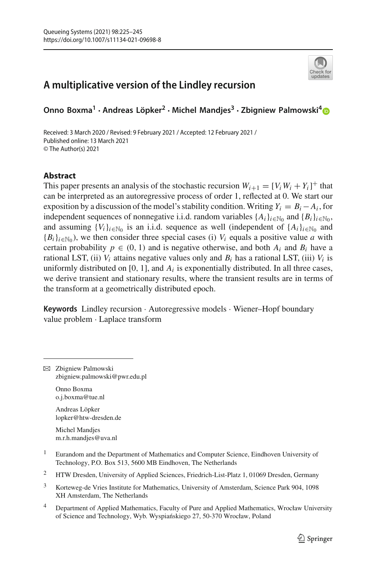# **A multiplicative version of the Lindley recursion**

**Onno Boxma1 · Andreas Löpker2 · Michel Mandjes<sup>3</sup> · Zbigniew Palmowski[4](http://orcid.org/0000-0001-9257-1115)**

Received: 3 March 2020 / Revised: 9 February 2021 / Accepted: 12 February 2021 / Published online: 13 March 2021 © The Author(s) 2021

### **Abstract**

This paper presents an analysis of the stochastic recursion  $W_{i+1} = [V_i W_i + Y_i]^+$  that can be interpreted as an autoregressive process of order 1, reflected at 0. We start our exposition by a discussion of the model's stability condition. Writing  $Y_i = B_i - A_i$ , for independent sequences of nonnegative i.i.d. random variables  $\{A_i\}_{i\in\mathbb{N}_0}$  and  $\{B_i\}_{i\in\mathbb{N}_0}$ , and assuming  ${V_i}_{i \in \mathbb{N}_0}$  is an i.i.d. sequence as well (independent of  ${A_i}_{i \in \mathbb{N}_0}$  and  ${B_i}_{i \in \mathbb{N}_0}$ , we then consider three special cases (i)  $V_i$  equals a positive value *a* with certain probability  $p \in (0, 1)$  and is negative otherwise, and both  $A_i$  and  $B_i$  have a rational LST, (ii)  $V_i$  attains negative values only and  $B_i$  has a rational LST, (iii)  $V_i$  is uniformly distributed on  $[0, 1]$ , and  $A_i$  is exponentially distributed. In all three cases, we derive transient and stationary results, where the transient results are in terms of the transform at a geometrically distributed epoch.

**Keywords** Lindley recursion · Autoregressive models · Wiener–Hopf boundary value problem · Laplace transform

 $\boxtimes$  Zbigniew Palmowski zbigniew.palmowski@pwr.edu.pl

> Onno Boxma o.j.boxma@tue.nl

Andreas Löpker lopker@htw-dresden.de

Michel Mandjes m.r.h.mandjes@uva.nl

- <sup>1</sup> Eurandom and the Department of Mathematics and Computer Science, Eindhoven University of Technology, P.O. Box 513, 5600 MB Eindhoven, The Netherlands
- <sup>2</sup> HTW Dresden, University of Applied Sciences, Friedrich-List-Platz 1, 01069 Dresden, Germany
- <sup>3</sup> Korteweg-de Vries Institute for Mathematics, University of Amsterdam, Science Park 904, 1098 XH Amsterdam, The Netherlands
- <sup>4</sup> Department of Applied Mathematics, Faculty of Pure and Applied Mathematics, Wrocław University of Science and Technology, Wyb. Wyspiańskiego 27, 50-370 Wrocław, Poland

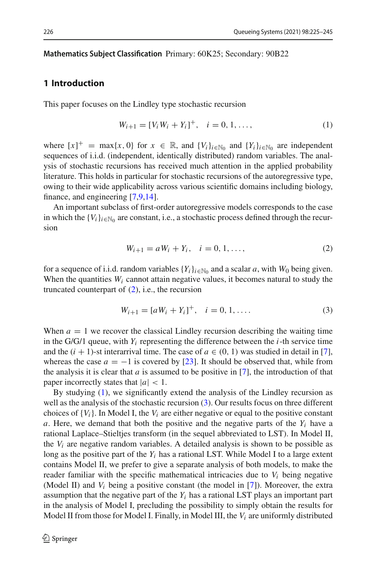#### **Mathematics Subject Classification** Primary: 60K25; Secondary: 90B22

#### **1 Introduction**

This paper focuses on the Lindley type stochastic recursion

<span id="page-2-1"></span>
$$
W_{i+1} = [V_i W_i + Y_i]^+, \quad i = 0, 1, ..., \tag{1}
$$

where  $[x]^+$  = max{*x*, 0} for  $x \in \mathbb{R}$ , and  $\{V_i\}_{i \in \mathbb{N}_0}$  and  $\{Y_i\}_{i \in \mathbb{N}_0}$  are independent sequences of i.i.d. (independent, identically distributed) random variables. The analysis of stochastic recursions has received much attention in the applied probability literature. This holds in particular for stochastic recursions of the autoregressive type, owing to their wide applicability across various scientific domains including biology, finance, and engineering [\[7](#page-21-0)[,9](#page-21-1)[,14](#page-21-2)].

An important subclass of first-order autoregressive models corresponds to the case in which the  ${V_i}_{i \in \mathbb{N}_0}$  are constant, i.e., a stochastic process defined through the recursion

<span id="page-2-0"></span>
$$
W_{i+1} = aW_i + Y_i, \quad i = 0, 1, ..., \tag{2}
$$

for a sequence of i.i.d. random variables  ${Y_i}_{i \in \mathbb{N}_0}$  and a scalar *a*, with  $W_0$  being given. When the quantities  $W_i$  cannot attain negative values, it becomes natural to study the truncated counterpart of [\(2\)](#page-2-0), i.e., the recursion

<span id="page-2-2"></span>
$$
W_{i+1} = [aW_i + Y_i]^+, \quad i = 0, 1, \dots
$$
 (3)

When  $a = 1$  we recover the classical Lindley recursion describing the waiting time in the  $G/G/1$  queue, with  $Y_i$  representing the difference between the  $i$ -th service time and the  $(i + 1)$ -st interarrival time. The case of  $a \in (0, 1)$  was studied in detail in [\[7](#page-21-0)], whereas the case  $a = -1$  is covered by [\[23\]](#page-21-3). It should be observed that, while from the analysis it is clear that  $a$  is assumed to be positive in [\[7](#page-21-0)], the introduction of that paper incorrectly states that  $|a| < 1$ .

By studying [\(1\)](#page-2-1), we significantly extend the analysis of the Lindley recursion as well as the analysis of the stochastic recursion [\(3\)](#page-2-2). Our results focus on three different choices of  ${V_i}$ . In Model I, the  $V_i$  are either negative or equal to the positive constant *a*. Here, we demand that both the positive and the negative parts of the  $Y_i$  have a rational Laplace–Stieltjes transform (in the sequel abbreviated to LST). In Model II, the  $V_i$  are negative random variables. A detailed analysis is shown to be possible as long as the positive part of the  $Y_i$  has a rational LST. While Model I to a large extent contains Model II, we prefer to give a separate analysis of both models, to make the reader familiar with the specific mathematical intricacies due to  $V_i$  being negative (Model II) and *Vi* being a positive constant (the model in [\[7](#page-21-0)]). Moreover, the extra assumption that the negative part of the *Yi* has a rational LST plays an important part in the analysis of Model I, precluding the possibility to simply obtain the results for Model II from those for Model I. Finally, in Model III, the *Vi* are uniformly distributed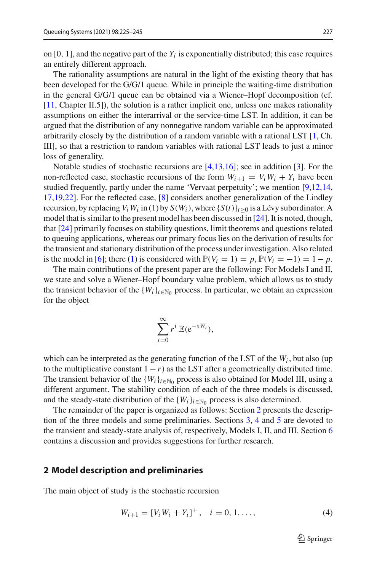on  $[0, 1]$ , and the negative part of the  $Y_i$  is exponentially distributed; this case requires an entirely different approach.

The rationality assumptions are natural in the light of the existing theory that has been developed for the G/G/1 queue. While in principle the waiting-time distribution in the general G/G/1 queue can be obtained via a Wiener–Hopf decomposition (cf. [\[11](#page-21-4), Chapter II.5]), the solution is a rather implicit one, unless one makes rationality assumptions on either the interarrival or the service-time LST. In addition, it can be argued that the distribution of any nonnegative random variable can be approximated arbitrarily closely by the distribution of a random variable with a rational LST [\[1](#page-20-0), Ch. III], so that a restriction to random variables with rational LST leads to just a minor loss of generality.

Notable studies of stochastic recursions are [\[4](#page-20-1)[,13](#page-21-5)[,16](#page-21-6)]; see in addition [\[3\]](#page-20-2). For the non-reflected case, stochastic recursions of the form  $W_{i+1} = V_i W_i + Y_i$  have been studied frequently, partly under the name 'Vervaat perpetuity'; we mention [\[9](#page-21-1)[,12](#page-21-7)[,14,](#page-21-2) [17](#page-21-8)[,19](#page-21-9)[,22\]](#page-21-10). For the reflected case, [\[8](#page-21-11)] considers another generalization of the Lindley recursion, by replacing  $V_i W_i$  in [\(1\)](#page-2-1) by  $S(W_i)$ , where  $\{S(t)\}_{t\geq 0}$  is a Lévy subordinator. A model that is similar to the present model has been discussed in [\[24](#page-21-12)]. It is noted, though, that [\[24\]](#page-21-12) primarily focuses on stability questions, limit theorems and questions related to queuing applications, whereas our primary focus lies on the derivation of results for the transient and stationary distribution of the process under investigation. Also related is the model in [\[6\]](#page-20-3); there [\(1\)](#page-2-1) is considered with  $\mathbb{P}(V_i = 1) = p$ ,  $\mathbb{P}(V_i = -1) = 1 - p$ .

The main contributions of the present paper are the following: For Models I and II, we state and solve a Wiener–Hopf boundary value problem, which allows us to study the transient behavior of the  ${W_i}_{i \in \mathbb{N}_0}$  process. In particular, we obtain an expression for the object

$$
\sum_{i=0}^{\infty} r^i \mathbb{E}(\mathrm{e}^{-sW_i}),
$$

which can be interpreted as the generating function of the LST of the  $W_i$ , but also (up to the multiplicative constant  $1 - r$ ) as the LST after a geometrically distributed time. The transient behavior of the  ${W_i}_{i \in \mathbb{N}_0}$  process is also obtained for Model III, using a different argument. The stability condition of each of the three models is discussed, and the steady-state distribution of the  ${W<sub>i</sub>}<sub>i\in\mathbb{N}<sub>0</sub>}</sub>$  process is also determined.

The remainder of the paper is organized as follows: Section [2](#page-3-0) presents the description of the three models and some preliminaries. Sections [3,](#page-6-0) [4](#page-10-0) and [5](#page-14-0) are devoted to the transient and steady-state analysis of, respectively, Models I, II, and III. Section [6](#page-20-4) contains a discussion and provides suggestions for further research.

#### <span id="page-3-0"></span>**2 Model description and preliminaries**

The main object of study is the stochastic recursion

<span id="page-3-1"></span>
$$
W_{i+1} = [V_i W_i + Y_i]^+, \quad i = 0, 1, ..., \tag{4}
$$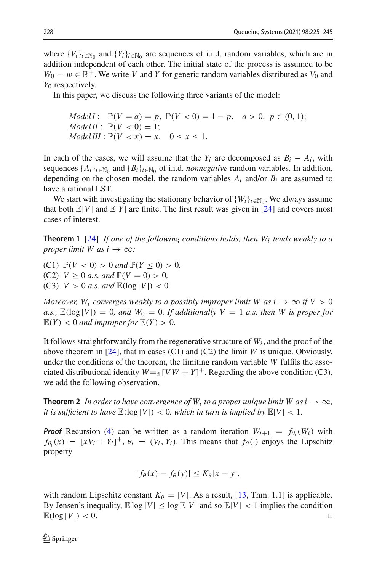where  $\{V_i\}_{i\in\mathbb{N}_0}$  and  $\{Y_i\}_{i\in\mathbb{N}_0}$  are sequences of i.i.d. random variables, which are in addition independent of each other. The initial state of the process is assumed to be  $W_0 = w \in \mathbb{R}^+$ . We write *V* and *Y* for generic random variables distributed as  $V_0$  and *Y*<sup>0</sup> respectively.

In this paper, we discuss the following three variants of the model:

*ModelI*: 
$$
\mathbb{P}(V = a) = p
$$
,  $\mathbb{P}(V < 0) = 1 - p$ ,  $a > 0$ ,  $p \in (0, 1)$ ;  
*ModelII*:  $\mathbb{P}(V < 0) = 1$ ;  
*ModelIII*:  $\mathbb{P}(V < x) = x$ ,  $0 \le x \le 1$ .

In each of the cases, we will assume that the  $Y_i$  are decomposed as  $B_i - A_i$ , with sequences  $\{A_i\}_{i\in\mathbb{N}_0}$  and  $\{B_i\}_{i\in\mathbb{N}_0}$  of i.i.d. *nonnegative* random variables. In addition, depending on the chosen model, the random variables  $A_i$  and/or  $B_i$  are assumed to have a rational LST.

<span id="page-4-1"></span>We start with investigating the stationary behavior of  ${W_i}_{i \in \mathbb{N}_0}$ . We always assume that both  $\mathbb{E}|V|$  and  $\mathbb{E}|Y|$  are finite. The first result was given in [\[24](#page-21-12)] and covers most cases of interest.

**Theorem 1** [\[24\]](#page-21-12) *If one of the following conditions holds, then Wi tends weakly to a proper limit W as i*  $\rightarrow \infty$ *:* 

(C1)  $\mathbb{P}(V < 0) > 0$  and  $\mathbb{P}(Y \le 0) > 0$ , (C2)  $V \ge 0$  *a.s.* and  $\mathbb{P}(V = 0) > 0$ , (C3)  $V > 0$  *a.s.* and  $\mathbb{E}(\log |V|) < 0$ .

*Moreover,*  $W_i$  *converges weakly to a possibly improper limit W as i*  $\rightarrow \infty$  *if V* > 0 *a.s.,*  $\mathbb{E}(\log |V|) = 0$ *, and*  $W_0 = 0$ *. If additionally*  $V = 1$  *a.s. then W is proper for*  $\mathbb{E}(Y) < 0$  *and improper for*  $\mathbb{E}(Y) > 0$ *.* 

It follows straightforwardly from the regenerative structure of  $W_i$ , and the proof of the above theorem in [\[24\]](#page-21-12), that in cases (C1) and (C2) the limit *W* is unique. Obviously, under the conditions of the theorem, the limiting random variable *W* fulfils the associated distributional identity  $W = d[VW + Y]^+$ . Regarding the above condition (C3), we add the following observation.

<span id="page-4-0"></span>**Theorem 2** *In order to have convergence of W<sub>i</sub> to a proper unique limit W as*  $i \rightarrow \infty$ *, it is sufficient to have*  $\mathbb{E}(\log |V|) < 0$ , which in turn is implied by  $\mathbb{E}|V| < 1$ .

*Proof* Recursion [\(4\)](#page-3-1) can be written as a random iteration  $W_{i+1} = f_{\theta_i}(W_i)$  with  $f_{\theta_i}(x) = [xV_i + Y_i]^+, \theta_i = (V_i, Y_i)$ . This means that  $f_{\theta}(\cdot)$  enjoys the Lipschitz property

$$
|f_{\theta}(x) - f_{\theta}(y)| \le K_{\theta}|x - y|,
$$

with random Lipschitz constant  $K_{\theta} = |V|$ . As a result, [\[13](#page-21-5), Thm. 1.1] is applicable. By Jensen's inequality,  $\mathbb{E} \log |V| \leq \log \mathbb{E}|V|$  and so  $\mathbb{E}|V| < 1$  implies the condition  $\mathbb{E}(\log |V|) < 0.$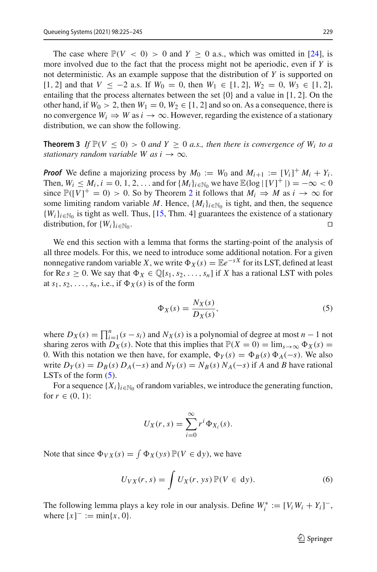The case where  $\mathbb{P}(V < 0) > 0$  and  $Y \ge 0$  a.s., which was omitted in [\[24](#page-21-12)], is more involved due to the fact that the process might not be aperiodic, even if *Y* is not deterministic. As an example suppose that the distribution of *Y* is supported on [1, 2] and that *V* ≤ −2 a.s. If  $W_0 = 0$ , then  $W_1 \n∈ [1, 2]$ ,  $W_2 = 0$ ,  $W_3 \n∈ [1, 2]$ , entailing that the process alternates between the set  $\{0\}$  and a value in [1, 2]. On the other hand, if  $W_0 > 2$ , then  $W_1 = 0$ ,  $W_2 \in [1, 2]$  and so on. As a consequence, there is no convergence  $W_i \Rightarrow W$  as  $i \to \infty$ . However, regarding the existence of a stationary distribution, we can show the following.

**Theorem 3** If  $\mathbb{P}(V \le 0) > 0$  and  $Y \ge 0$  a.s., then there is convergence of  $W_i$  to a *stationary random variable W as i*  $\rightarrow \infty$ *.* 

**Proof** We define a majorizing process by  $M_0 := W_0$  and  $M_{i+1} := [V_i]^+ M_i + Y_i$ . Then,  $W_i \leq M_i$ ,  $i = 0, 1, 2, ...$  and for  $\{M_i\}_{i \in \mathbb{N}_0}$  we have  $\mathbb{E}(\log |[V]^+|) = -\infty < 0$ since  $\mathbb{P}([V]^+ = 0) > 0$ . So by Theorem [2](#page-4-0) it follows that  $M_i \Rightarrow M$  as  $i \to \infty$  for some limiting random variable *M*. Hence,  $\{M_i\}_{i\in\mathbb{N}_0}$  is tight, and then, the sequence  ${W_i}_{i \in \mathbb{N}_0}$  is tight as well. Thus, [\[15](#page-21-13), Thm. 4] guarantees the existence of a stationary distribution for  ${W_i}_{i \in \mathbb{N}_0}$ distribution, for  $\{W_i\}_{i\in\mathbb{N}_0}$ .

We end this section with a lemma that forms the starting-point of the analysis of all three models. For this, we need to introduce some additional notation. For a given nonnegative random variable *X*, we write  $\Phi_X(s) = \mathbb{E}e^{-sX}$  for its LST, defined at least for Re  $s \geq 0$ . We say that  $\Phi_X \in \mathbb{Q}[s_1, s_2, \ldots, s_n]$  if X has a rational LST with poles at  $s_1, s_2, \ldots, s_n$ , i.e., if  $\Phi_X(s)$  is of the form

<span id="page-5-0"></span>
$$
\Phi_X(s) = \frac{N_X(s)}{D_X(s)},\tag{5}
$$

where  $D_X(s) = \prod_{i=1}^n (s - s_i)$  and  $N_X(s)$  is a polynomial of degree at most  $n-1$  not sharing zeros with  $D_X(s)$ . Note that this implies that  $\mathbb{P}(X = 0) = \lim_{s \to \infty} \Phi_X(s) =$ 0. With this notation we then have, for example,  $\Phi_Y(s) = \Phi_B(s) \Phi_A(-s)$ . We also write  $D_Y(s) = D_B(s) D_A(-s)$  and  $N_Y(s) = N_B(s) N_A(-s)$  if *A* and *B* have rational LSTs of the form  $(5)$ .

For a sequence  $\{X_i\}_{i\in\mathbb{N}_0}$  of random variables, we introduce the generating function, for  $r \in (0, 1)$ :

$$
U_X(r,s) = \sum_{i=0}^{\infty} r^i \Phi_{X_i}(s).
$$

Note that since  $\Phi_{VX}(s) = \int \Phi_X(\gamma s) \mathbb{P}(V \in dy)$ , we have

$$
U_{VX}(r,s) = \int U_X(r, ys) \mathbb{P}(V \in dy).
$$
 (6)

The following lemma plays a key role in our analysis. Define  $W_i^* := [V_i W_i + Y_i]^{-}$ , where  $[x]^- := \min\{x, 0\}.$ 

<span id="page-5-1"></span> $\mathcal{D}$  Springer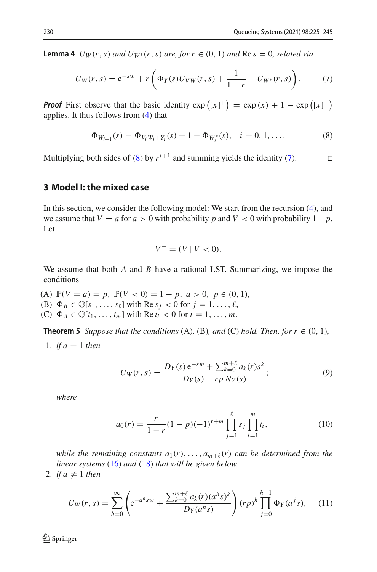**Lemma 4**  $U_W(r, s)$  *and*  $U_{W^*}(r, s)$  *are, for*  $r \in (0, 1)$  *and* Re  $s = 0$ *, related via* 

$$
U_W(r,s) = e^{-sw} + r \left( \Phi_Y(s) U_{VW}(r,s) + \frac{1}{1-r} - U_{W^*}(r,s) \right). \tag{7}
$$

*Proof* First observe that the basic identity  $\exp((x)^{+}) = \exp(x) + 1 - \exp((x)^{-})$ applies. It thus follows from [\(4\)](#page-3-1) that

<span id="page-6-2"></span>
$$
\Phi_{W_{i+1}}(s) = \Phi_{V_i W_i + Y_i}(s) + 1 - \Phi_{W_i^*}(s), \quad i = 0, 1, .... \tag{8}
$$

Multiplying both sides of [\(8\)](#page-6-1) by  $r^{i+1}$  and summing yields the identity [\(7\)](#page-6-2).

#### <span id="page-6-0"></span>**3 Model I: the mixed case**

In this section, we consider the following model: We start from the recursion [\(4\)](#page-3-1), and we assume that  $V = a$  for  $a > 0$  with probability  $p$  and  $V < 0$  with probability  $1 - p$ . Let

<span id="page-6-1"></span>
$$
V^- = (V \mid V < 0).
$$

We assume that both *A* and *B* have a rational LST. Summarizing, we impose the conditions

(A)  $\mathbb{P}(V = a) = p$ ,  $\mathbb{P}(V < 0) = 1 - p$ ,  $a > 0$ ,  $p \in (0, 1)$ , (B)  $\Phi_B \in \mathbb{Q}[s_1,\ldots,s_\ell]$  with Re  $s_j < 0$  for  $j = 1,\ldots,\ell$ , (C)  $\Phi_A \in \mathbb{Q}[t_1, ..., t_m]$  with Re  $t_i < 0$  for  $i = 1, ..., m$ .

**Theorem 5** *Suppose that the conditions* (A), (B), and (C) *hold. Then, for*  $r \in (0, 1)$ *,* 

1. if 
$$
a = 1
$$
 then

$$
U_W(r,s) = \frac{D_Y(s) e^{-sw} + \sum_{k=0}^{m+\ell} a_k(r) s^k}{D_Y(s) - r p N_Y(s)};
$$
\n(9)

*where*

<span id="page-6-4"></span><span id="page-6-3"></span>
$$
a_0(r) = \frac{r}{1-r}(1-p)(-1)^{\ell+m} \prod_{j=1}^{\ell} s_j \prod_{i=1}^m t_i,
$$
 (10)

*while the remaining constants*  $a_1(r), \ldots, a_{m+\ell}(r)$  *can be determined from the linear systems* [\(16\)](#page-8-0) *and* [\(18\)](#page-8-1) *that will be given below.*

2. *if*  $a \neq 1$  *then* 

$$
U_W(r,s) = \sum_{h=0}^{\infty} \left( e^{-a^h s w} + \frac{\sum_{k=0}^{m+\ell} a_k(r) (a^h s)^k}{D_Y(a^h s)} \right) (rp)^h \prod_{j=0}^{h-1} \Phi_Y(a^j s), \quad (11)
$$

 $\textcircled{2}$  Springer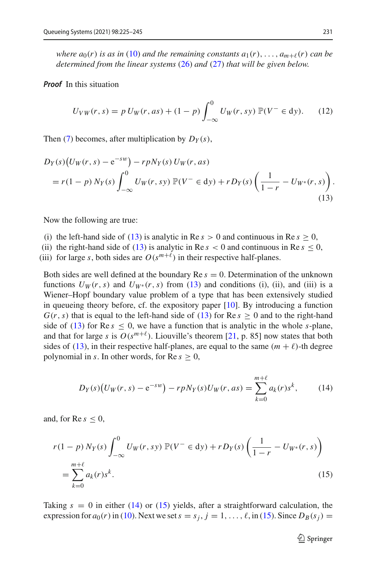*where*  $a_0(r)$  *is as in* [\(10\)](#page-6-3) *and the remaining constants*  $a_1(r), \ldots, a_{m+\ell}(r)$  *can be determined from the linear systems* [\(26\)](#page-9-0) *and* [\(27\)](#page-10-1) *that will be given below.*

#### *Proof* In this situation

<span id="page-7-0"></span>
$$
U_{VW}(r,s) = p U_W(r, as) + (1 - p) \int_{-\infty}^{0} U_W(r, sy) \, \mathbb{P}(V^- \in dy). \tag{12}
$$

Then [\(7\)](#page-6-2) becomes, after multiplication by  $D_Y(s)$ ,

$$
D_Y(s)\big(U_W(r,s) - e^{-sw}\big) - r p N_Y(s) U_W(r, as)
$$
  
=  $r(1-p) N_Y(s) \int_{-\infty}^0 U_W(r, sy) \mathbb{P}(V^- \in dy) + r D_Y(s) \left(\frac{1}{1-r} - U_{W^*}(r, s)\right).$  (13)

Now the following are true:

- (i) the left-hand side of [\(13\)](#page-7-0) is analytic in Re  $s > 0$  and continuous in Re  $s > 0$ ,
- (ii) the right-hand side of [\(13\)](#page-7-0) is analytic in Re  $s < 0$  and continuous in Re  $s \le 0$ ,
- (iii) for large *s*, both sides are  $O(s^{m+\ell})$  in their respective half-planes.

Both sides are well defined at the boundary Re *s* = 0. Determination of the unknown functions  $U_W(r, s)$  and  $U_{W^*}(r, s)$  from [\(13\)](#page-7-0) and conditions (i), (ii), and (iii) is a Wiener–Hopf boundary value problem of a type that has been extensively studied in queueing theory before, cf. the expository paper [\[10](#page-21-14)]. By introducing a function  $G(r, s)$  that is equal to the left-hand side of [\(13\)](#page-7-0) for Re  $s \ge 0$  and to the right-hand side of [\(13\)](#page-7-0) for Re  $s \le 0$ , we have a function that is analytic in the whole *s*-plane, and that for large *s* is  $O(s^{m+\ell})$ . Liouville's theorem [\[21](#page-21-15), p. 85] now states that both sides of [\(13\)](#page-7-0), in their respective half-planes, are equal to the same  $(m + \ell)$ -th degree polynomial in *s*. In other words, for  $\text{Re } s \geq 0$ ,

$$
D_Y(s)\big(U_W(r,s) - e^{-sw}\big) - r p N_Y(s) U_W(r,as) = \sum_{k=0}^{m+\ell} a_k(r) s^k, \qquad (14)
$$

and, for  $\text{Re } s \leq 0$ ,

$$
r(1-p) N_Y(s) \int_{-\infty}^0 U_W(r, sy) \mathbb{P}(V^- \in dy) + r D_Y(s) \left( \frac{1}{1-r} - U_{W^*}(r, s) \right)
$$
  
= 
$$
\sum_{k=0}^{m+\ell} a_k(r) s^k.
$$
 (15)

Taking  $s = 0$  in either [\(14\)](#page-7-1) or [\(15\)](#page-7-2) yields, after a straightforward calculation, the expression for  $a_0(r)$  in [\(10\)](#page-6-3). Next we set  $s = s_j$ ,  $j = 1, \ldots, \ell$ , in [\(15\)](#page-7-2). Since  $D_B(s_j)$ 

<span id="page-7-2"></span><span id="page-7-1"></span> $\mathcal{D}$  Springer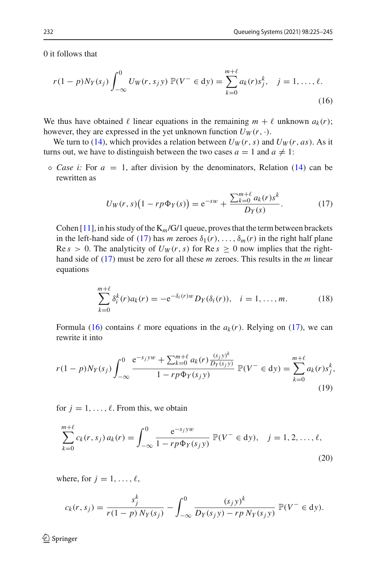0 it follows that

$$
r(1-p)N_Y(s_j)\int_{-\infty}^0 U_W(r,s_jy)\,\mathbb{P}(V^-\in\mathrm{d}y)=\sum_{k=0}^{m+\ell}a_k(r)s_j^k,\quad j=1,\ldots,\ell.
$$
\n(16)

We thus have obtained  $\ell$  linear equations in the remaining  $m + \ell$  unknown  $a_k(r)$ ; however, they are expressed in the yet unknown function  $U_W(r, \cdot)$ .

We turn to [\(14\)](#page-7-1), which provides a relation between  $U_W(r, s)$  and  $U_W(r, as)$ . As it turns out, we have to distinguish between the two cases  $a = 1$  and  $a \neq 1$ :

 $\circ$  *Case i:* For  $a = 1$ , after division by the denominators, Relation [\(14\)](#page-7-1) can be rewritten as

<span id="page-8-2"></span><span id="page-8-0"></span>
$$
U_W(r,s)\big(1-rp\Phi_Y(s)\big) = e^{-sw} + \frac{\sum_{k=0}^{m+\ell} a_k(r)s^k}{D_Y(s)}.
$$
 (17)

Cohen  $[11]$  $[11]$ , in his study of the  $K_m/G/1$  queue, proves that the term between brackets in the left-hand side of [\(17\)](#page-8-2) has *m* zeroes  $\delta_1(r), \ldots, \delta_m(r)$  in the right half plane  $\text{Re } s > 0$ . The analyticity of  $U_W(r, s)$  for  $\text{Re } s \ge 0$  now implies that the righthand side of [\(17\)](#page-8-2) must be zero for all these *m* zeroes. This results in the *m* linear equations

<span id="page-8-1"></span>
$$
\sum_{k=0}^{m+\ell} \delta_i^k(r) a_k(r) = -e^{-\delta_i(r)w} D_Y(\delta_i(r)), \quad i = 1, \dots, m.
$$
 (18)

Formula [\(16\)](#page-8-0) contains  $\ell$  more equations in the  $a_k(r)$ . Relying on [\(17\)](#page-8-2), we can rewrite it into

$$
r(1-p)N_Y(s_j)\int_{-\infty}^0\frac{e^{-s_jyw}+\sum_{k=0}^{m+\ell}a_k(r)\frac{(s_jy)^k}{D_Y(s_jy)}}{1-rp\Phi_Y(s_jy)}\mathbb{P}(V^-\in dy)=\sum_{k=0}^{m+\ell}a_k(r)s_j^k,
$$
\n(19)

for  $j = 1, \ldots, \ell$ . From this, we obtain

$$
\sum_{k=0}^{m+\ell} c_k(r, s_j) a_k(r) = \int_{-\infty}^0 \frac{e^{-s_j y w}}{1 - r p \Phi_Y(s_j y)} \mathbb{P}(V^- \in dy), \quad j = 1, 2, ..., \ell,
$$
\n(20)

where, for  $j = 1, \ldots, \ell$ ,

$$
c_k(r, s_j) = \frac{s_j^k}{r(1-p) N_Y(s_j)} - \int_{-\infty}^0 \frac{(s_j y)^k}{D_Y(s_j y) - rp N_Y(s_j y)} \, \mathbb{P}(V^- \in dy).
$$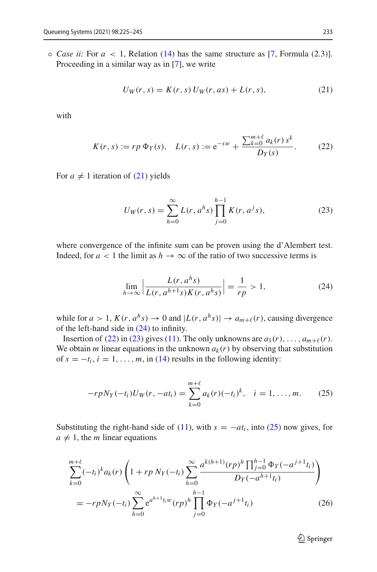$\circ$  *Case ii:* For  $a < 1$ , Relation [\(14\)](#page-7-1) has the same structure as [\[7,](#page-21-0) Formula (2.3)]. Proceeding in a similar way as in [\[7\]](#page-21-0), we write

<span id="page-9-3"></span><span id="page-9-1"></span>
$$
U_W(r, s) = K(r, s) U_W(r, as) + L(r, s),
$$
\n(21)

with

$$
K(r,s) := rp \, \Phi_Y(s), \quad L(r,s) := e^{-sw} + \frac{\sum_{k=0}^{m+\ell} a_k(r) \, s^k}{D_Y(s)}.
$$
 (22)

For  $a \neq 1$  iteration of [\(21\)](#page-9-1) yields

<span id="page-9-4"></span>
$$
U_W(r,s) = \sum_{h=0}^{\infty} L(r, a^h s) \prod_{j=0}^{h-1} K(r, a^j s),
$$
 (23)

where convergence of the infinite sum can be proven using the d'Alembert test. Indeed, for  $a < 1$  the limit as  $h \to \infty$  of the ratio of two successive terms is

<span id="page-9-2"></span>
$$
\lim_{h \to \infty} \left| \frac{L(r, a^h s)}{L(r, a^{h+1} s) K(r, a^h s)} \right| = \frac{1}{rp} > 1,
$$
\n(24)

while for  $a > 1$ ,  $K(r, a^h s) \rightarrow 0$  and  $|L(r, a^h s)| \rightarrow a_{m+\ell}(r)$ , causing divergence of the left-hand side in [\(24\)](#page-9-2) to infinity.

Insertion of [\(22\)](#page-9-3) in [\(23\)](#page-9-4) gives [\(11\)](#page-6-4). The only unknowns are  $a_1(r), \ldots, a_{m+\ell}(r)$ . We obtain *m* linear equations in the unknown  $a_k(r)$  by observing that substitution of  $s = -t_i$ ,  $i = 1, \ldots, m$ , in [\(14\)](#page-7-1) results in the following identity:

$$
-r p N_Y(-t_i) U_W(r, -at_i) = \sum_{k=0}^{m+\ell} a_k(r) (-t_i)^k, \quad i = 1, \dots, m. \tag{25}
$$

Substituting the right-hand side of [\(11\)](#page-6-4), with  $s = -at_i$ , into [\(25\)](#page-9-5) now gives, for  $a \neq 1$ , the *m* linear equations

$$
\sum_{k=0}^{m+\ell} (-t_i)^k a_k(r) \left( 1 + rp \, N_Y(-t_i) \sum_{h=0}^{\infty} \frac{a^{k(h+1)}(rp)^h \prod_{j=0}^{h-1} \Phi_Y(-a^{j+1}t_i)}{D_Y(-a^{h+1}t_i)} \right)
$$
  
=  $-rp N_Y(-t_i) \sum_{h=0}^{\infty} e^{a^{h+1}t_i w} (rp)^h \prod_{j=0}^{h-1} \Phi_Y(-a^{j+1}t_i)$  (26)

<span id="page-9-5"></span><span id="page-9-0"></span><sup>2</sup> Springer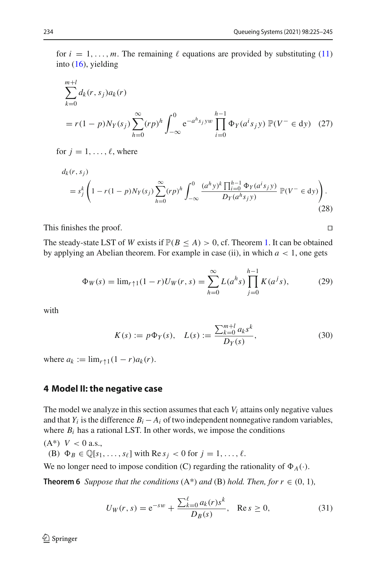for  $i = 1, \ldots, m$ . The remaining  $\ell$  equations are provided by substituting [\(11\)](#page-6-4) into [\(16\)](#page-8-0), yielding

<span id="page-10-1"></span>
$$
\sum_{k=0}^{m+l} d_k(r, s_j) a_k(r)
$$
  
=  $r(1 - p)N_Y(s_j) \sum_{h=0}^{\infty} (rp)^h \int_{-\infty}^0 e^{-a^h s_j yw} \prod_{i=0}^{h-1} \Phi_Y(a^i s_j y) \mathbb{P}(V^- \in dy)$  (27)

for  $j = 1, \ldots, \ell$ , where

$$
d_{k}(r, s_{j}) = s_{j}^{k} \left( 1 - r(1-p)N_{Y}(s_{j}) \sum_{h=0}^{\infty} (rp)^{h} \int_{-\infty}^{0} \frac{(a^{h}y)^{k} \prod_{i=0}^{h-1} \Phi_{Y}(a^{i}s_{j}y)}{D_{Y}(a^{h}s_{j}y)} \mathbb{P}(V^{-} \in dy) \right). \tag{28}
$$

This finishes the proof.

The steady-state LST of *W* exists if  $\mathbb{P}(B \le A) > 0$ , cf. Theorem [1.](#page-4-1) It can be obtained by applying an Abelian theorem. For example in case (ii), in which  $a < 1$ , one gets

$$
\Phi_W(s) = \lim_{r \uparrow 1} (1 - r) U_W(r, s) = \sum_{h=0}^{\infty} L(a^h s) \prod_{j=0}^{h-1} K(a^j s), \tag{29}
$$

with

$$
K(s) := p\Phi_Y(s), \quad L(s) := \frac{\sum_{k=0}^{m+l} a_k s^k}{D_Y(s)},
$$
\n(30)

where  $a_k := \lim_{r \uparrow 1} (1 - r) a_k(r)$ .

#### <span id="page-10-0"></span>**4 Model II: the negative case**

The model we analyze in this section assumes that each  $V_i$  attains only negative values and that  $Y_i$  is the difference  $B_i - A_i$  of two independent nonnegative random variables, where  $B_i$  has a rational LST. In other words, we impose the conditions

 $(A^*)$   $V < 0$  a.s.,

(B)  $\Phi_B \in \mathbb{Q}[s_1,\ldots,s_\ell]$  with Re  $s_i < 0$  for  $j = 1,\ldots,\ell$ .

We no longer need to impose condition (C) regarding the rationality of  $\Phi_A(\cdot)$ .

**Theorem 6** *Suppose that the conditions*  $(A^*)$  *and*  $(B)$  *hold. Then, for*  $r \in (0, 1)$ *,* 

<span id="page-10-2"></span>
$$
U_W(r,s) = e^{-sw} + \frac{\sum_{k=0}^{\ell} a_k(r)s^k}{D_B(s)}, \quad \text{Re}\, s \ge 0,
$$
 (31)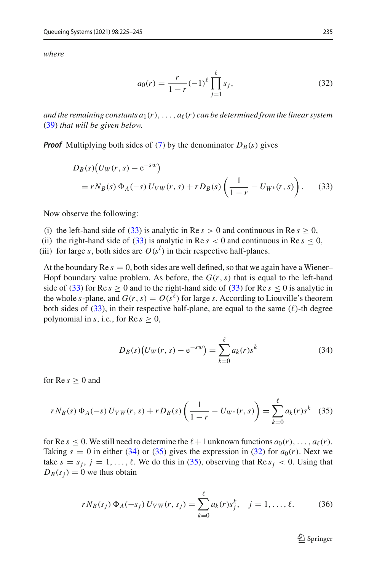*where*

<span id="page-11-3"></span><span id="page-11-0"></span>
$$
a_0(r) = \frac{r}{1-r}(-1)^{\ell} \prod_{j=1}^{\ell} s_j,
$$
 (32)

*and the remaining constants*  $a_1(r), \ldots, a_\ell(r)$  *can be determined from the linear system* [\(39\)](#page-12-0) *that will be given below.*

*Proof* Multiplying both sides of [\(7\)](#page-6-2) by the denominator  $D_B(s)$  gives

$$
D_B(s)(U_W(r,s) - e^{-sw})
$$
  
=  $rN_B(s) \Phi_A(-s) U_{VW}(r,s) + rD_B(s) \left(\frac{1}{1-r} - U_{W^*}(r,s)\right).$  (33)

Now observe the following:

- (i) the left-hand side of [\(33\)](#page-11-0) is analytic in Re  $s > 0$  and continuous in Re  $s > 0$ ,
- (ii) the right-hand side of [\(33\)](#page-11-0) is analytic in Re  $s < 0$  and continuous in Re  $s \le 0$ ,

(iii) for large *s*, both sides are  $O(s^l)$  in their respective half-planes.

At the boundary Re  $s = 0$ , both sides are well defined, so that we again have a Wiener– Hopf boundary value problem. As before, the  $G(r, s)$  that is equal to the left-hand side of [\(33\)](#page-11-0) for Re  $s \ge 0$  and to the right-hand side of (33) for Re  $s \le 0$  is analytic in the whole *s*-plane, and  $G(r, s) = O(s^{\ell})$  for large *s*. According to Liouville's theorem both sides of [\(33\)](#page-11-0), in their respective half-plane, are equal to the same  $(\ell)$ -th degree polynomial in *s*, i.e., for  $\text{Re } s \geq 0$ ,

<span id="page-11-1"></span>
$$
D_B(s)\big(U_W(r,s) - e^{-sw}\big) = \sum_{k=0}^{\ell} a_k(r)s^k
$$
 (34)

for  $\text{Re } s > 0$  and

$$
rN_B(s)\,\Phi_A(-s)\,U_{VW}(r,s) + rD_B(s)\left(\frac{1}{1-r} - U_{W^*}(r,s)\right) = \sum_{k=0}^{\ell} a_k(r)s^k \quad (35)
$$

for Re  $s \leq 0$ . We still need to determine the  $\ell + 1$  unknown functions  $a_0(r), \ldots, a_\ell(r)$ . Taking  $s = 0$  in either [\(34\)](#page-11-1) or [\(35\)](#page-11-2) gives the expression in [\(32\)](#page-11-3) for  $a_0(r)$ . Next we take  $s = s_j$ ,  $j = 1, \ldots, \ell$ . We do this in [\(35\)](#page-11-2), observing that Re  $s_j < 0$ . Using that  $D_B(s_i) = 0$  we thus obtain

$$
rN_B(s_j) \Phi_A(-s_j) U_{VW}(r, s_j) = \sum_{k=0}^{\ell} a_k(r)s_j^k, \quad j = 1, ..., \ell.
$$
 (36)

<span id="page-11-2"></span> $\mathcal{D}$  Springer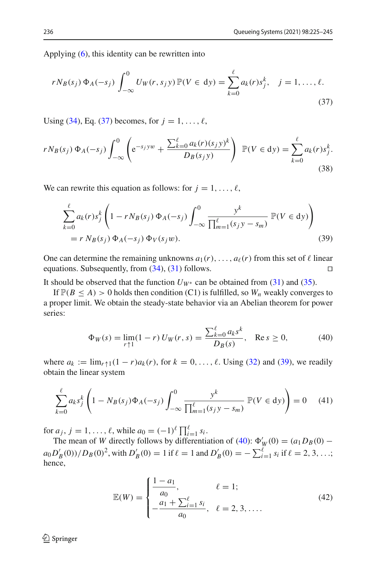Applying [\(6\)](#page-5-1), this identity can be rewritten into

<span id="page-12-1"></span>
$$
r N_B(s_j) \Phi_A(-s_j) \int_{-\infty}^0 U_W(r, s_j y) \mathbb{P}(V \in dy) = \sum_{k=0}^\ell a_k(r) s_j^k, \quad j = 1, \dots, \ell.
$$
\n(37)

Using [\(34\)](#page-11-1), Eq. [\(37\)](#page-12-1) becomes, for  $j = 1, ..., \ell$ ,

$$
rN_B(s_j) \Phi_A(-s_j) \int_{-\infty}^0 \left( e^{-s_j y w} + \frac{\sum_{k=0}^\ell a_k(r)(s_j y)^k}{D_B(s_j y)} \right) \mathbb{P}(V \in dy) = \sum_{k=0}^\ell a_k(r) s_j^k.
$$
\n(38)

We can rewrite this equation as follows: for  $j = 1, \ldots, \ell$ ,

$$
\sum_{k=0}^{\ell} a_k(r) s_j^k \left( 1 - r N_B(s_j) \Phi_A(-s_j) \int_{-\infty}^0 \frac{y^k}{\prod_{m=1}^{\ell} (s_j y - s_m)} \mathbb{P}(V \in dy) \right)
$$
  
=  $r N_B(s_j) \Phi_A(-s_j) \Phi_V(s_j w).$  (39)

One can determine the remaining unknowns  $a_1(r), \ldots, a_\ell(r)$  from this set of  $\ell$  linear equations. Subsequently, from  $(34)$ ,  $(31)$  follows.

It should be observed that the function  $U_{W^*}$  can be obtained from [\(31\)](#page-10-2) and [\(35\)](#page-11-2).

If  $\mathbb{P}(B \leq A) > 0$  holds then condition (C1) is fulfilled, so  $W_n$  weakly converges to a proper limit. We obtain the steady-state behavior via an Abelian theorem for power series:

<span id="page-12-2"></span><span id="page-12-0"></span>
$$
\Phi_W(s) = \lim_{r \uparrow 1} (1 - r) U_W(r, s) = \frac{\sum_{k=0}^{\ell} a_k s^k}{D_B(s)}, \quad \text{Re } s \ge 0,
$$
 (40)

where  $a_k := \lim_{r \uparrow 1} (1 - r)a_k(r)$ , for  $k = 0, \ldots, \ell$ . Using [\(32\)](#page-11-3) and [\(39\)](#page-12-0), we readily obtain the linear system

$$
\sum_{k=0}^{\ell} a_k s_j^k \left( 1 - N_B(s_j) \Phi_A(-s_j) \int_{-\infty}^0 \frac{y^k}{\prod_{m=1}^{\ell} (s_j y - s_m)} \, \mathbb{P}(V \in dy) \right) = 0 \tag{41}
$$

for  $a_j$ ,  $j = 1, ..., \ell$ , while  $a_0 = (-1)^{\ell} \prod_{i=1}^{\ell} s_i$ .

The mean of *W* directly follows by differentiation of [\(40\)](#page-12-2):  $\Phi'_{W}(0) = (a_1 D_B(0) - a_2 D_B(0))$  $a_0 D'_B(0) / D_B(0)^2$ , with  $D'_B(0) = 1$  if  $\ell = 1$  and  $D'_B(0) = -\sum_{i=1}^{\ell} s_i$  if  $\ell = 2, 3, ...$ ; hence,

<span id="page-12-4"></span><span id="page-12-3"></span>
$$
\mathbb{E}(W) = \begin{cases} \frac{1 - a_1}{a_0}, & \ell = 1; \\ -\frac{a_1 + \sum_{i=1}^{\ell} s_i}{a_0}, & \ell = 2, 3, .... \end{cases}
$$
(42)

 $\textcircled{2}$  Springer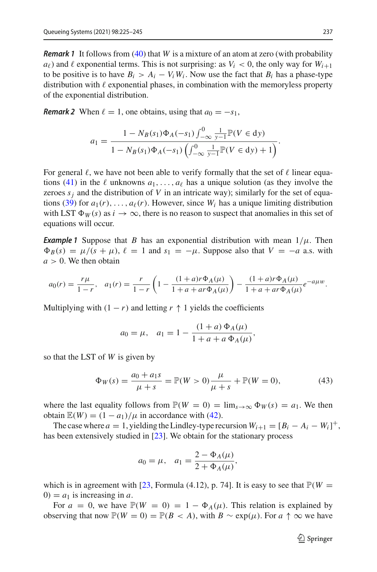*Remark 1* It follows from [\(40\)](#page-12-2) that *W* is a mixture of an atom at zero (with probability  $a_{\ell}$ ) and  $\ell$  exponential terms. This is not surprising: as  $V_i < 0$ , the only way for  $W_{i+1}$ to be positive is to have  $B_i > A_i - V_i W_i$ . Now use the fact that  $B_i$  has a phase-type distribution with  $\ell$  exponential phases, in combination with the memoryless property of the exponential distribution.

*Remark 2* When  $\ell = 1$ , one obtains, using that  $a_0 = -s_1$ ,

$$
a_1 = \frac{1 - N_B(s_1)\Phi_A(-s_1)\int_{-\infty}^0 \frac{1}{y-1} \mathbb{P}(V \in dy)}{1 - N_B(s_1)\Phi_A(-s_1)\left(\int_{-\infty}^0 \frac{1}{y-1} \mathbb{P}(V \in dy) + 1\right)}.
$$

For general  $\ell$ , we have not been able to verify formally that the set of  $\ell$  linear equa-tions [\(41\)](#page-12-3) in the  $\ell$  unknowns  $a_1, \ldots, a_\ell$  has a unique solution (as they involve the zeroes  $s_i$  and the distribution of V in an intricate way); similarly for the set of equa-tions [\(39\)](#page-12-0) for  $a_1(r), \ldots, a_\ell(r)$ . However, since  $W_i$  has a unique limiting distribution with LST  $\Phi_W(s)$  as  $i \to \infty$ , there is no reason to suspect that anomalies in this set of equations will occur.

*Example 1* Suppose that *B* has an exponential distribution with mean  $1/\mu$ . Then  $\Phi_B(s) = \mu/(s + \mu)$ ,  $\ell = 1$  and  $s_1 = -\mu$ . Suppose also that  $V = -a$  a.s. with  $a > 0$ . We then obtain

$$
a_0(r) = \frac{r\mu}{1-r}, \quad a_1(r) = \frac{r}{1-r} \left( 1 - \frac{(1+a)r\Phi_A(\mu)}{1+a+a r\Phi_A(\mu)} \right) - \frac{(1+a)r\Phi_A(\mu)}{1+a+a r\Phi_A(\mu)} e^{-a\mu w}.
$$

Multiplying with  $(1 - r)$  and letting  $r \uparrow 1$  yields the coefficients

$$
a_0 = \mu
$$
,  $a_1 = 1 - \frac{(1+a) \Phi_A(\mu)}{1+a+a \Phi_A(\mu)}$ ,

so that the LST of *W* is given by

$$
\Phi_W(s) = \frac{a_0 + a_1 s}{\mu + s} = \mathbb{P}(W > 0) \frac{\mu}{\mu + s} + \mathbb{P}(W = 0),\tag{43}
$$

where the last equality follows from  $\mathbb{P}(W = 0) = \lim_{s \to \infty} \Phi_W(s) = a_1$ . We then obtain  $\mathbb{E}(W) = (1 - a_1)/\mu$  in accordance with [\(42\)](#page-12-4).

The case where  $a = 1$ , yielding the Lindley-type recursion  $W_{i+1} = [B_i - A_i - W_i]^+$ , has been extensively studied in [\[23\]](#page-21-3). We obtain for the stationary process

$$
a_0 = \mu
$$
,  $a_1 = \frac{2 - \Phi_A(\mu)}{2 + \Phi_A(\mu)}$ ,

which is in agreement with [\[23,](#page-21-3) Formula (4.12), p. 74]. It is easy to see that  $\mathbb{P}(W =$  $0 = a_1$  is increasing in *a*.

For  $a = 0$ , we have  $\mathbb{P}(W = 0) = 1 - \Phi_A(\mu)$ . This relation is explained by observing that now  $\mathbb{P}(W = 0) = \mathbb{P}(B < A)$ , with  $B \sim \exp(\mu)$ . For  $a \uparrow \infty$  we have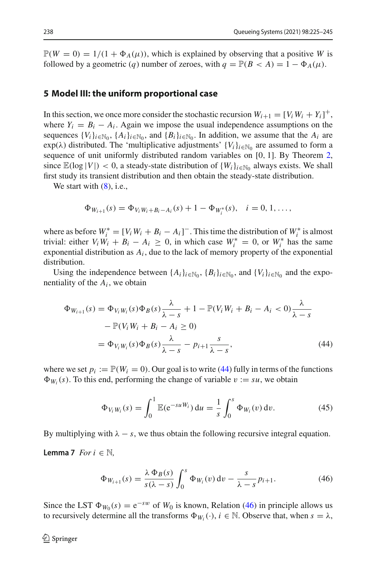$\mathbb{P}(W = 0) = 1/(1 + \Phi_A(\mu))$ , which is explained by observing that a positive *W* is followed by a geometric (*q*) number of zeroes, with  $q = \mathbb{P}(B < A) = 1 - \Phi_A(\mu)$ .

#### <span id="page-14-0"></span>**5 Model III: the uniform proportional case**

In this section, we once more consider the stochastic recursion  $W_{i+1} = [V_i W_i + Y_i]^+$ , where  $Y_i = B_i - A_i$ . Again we impose the usual independence assumptions on the sequences  $\{V_i\}_{i\in\mathbb{N}_0}, \{A_i\}_{i\in\mathbb{N}_0}$ , and  $\{B_i\}_{i\in\mathbb{N}_0}$ . In addition, we assume that the  $A_i$  are  $\exp(\lambda)$  distributed. The 'multiplicative adjustments'  $\{V_i\}_{i\in\mathbb{N}_0}$  are assumed to form a sequence of unit uniformly distributed random variables on [0, 1]. By Theorem [2,](#page-4-0) since  $\mathbb{E}(\log |V|) < 0$ , a steady-state distribution of  $\{W_i\}_{i \in \mathbb{N}_0}$  always exists. We shall first study its transient distribution and then obtain the steady-state distribution.

We start with  $(8)$ , i.e.,

$$
\Phi_{W_{i+1}}(s) = \Phi_{V_i W_i + B_i - A_i}(s) + 1 - \Phi_{W_i^*}(s), \quad i = 0, 1, ...,
$$

where as before  $W_i^* = [V_i W_i + B_i - A_i]$ . This time the distribution of  $W_i^*$  is almost trivial: either  $V_i W_i + B_i - A_i \geq 0$ , in which case  $W_i^* = 0$ , or  $W_i^*$  has the same exponential distribution as  $A_i$ , due to the lack of memory property of the exponential distribution.

Using the independence between  $\{A_i\}_{i \in \mathbb{N}_0}$ ,  $\{B_i\}_{i \in \mathbb{N}_0}$ , and  $\{V_i\}_{i \in \mathbb{N}_0}$  and the exponentiality of the  $A_i$ , we obtain

$$
\Phi_{W_{i+1}}(s) = \Phi_{V_i W_i}(s) \Phi_B(s) \frac{\lambda}{\lambda - s} + 1 - \mathbb{P}(V_i W_i + B_i - A_i < 0) \frac{\lambda}{\lambda - s} \\
- \mathbb{P}(V_i W_i + B_i - A_i \ge 0) \\
= \Phi_{V_i W_i}(s) \Phi_B(s) \frac{\lambda}{\lambda - s} - p_{i+1} \frac{s}{\lambda - s},\n\tag{44}
$$

where we set  $p_i := \mathbb{P}(W_i = 0)$ . Our goal is to write [\(44\)](#page-14-1) fully in terms of the functions  $\Phi_{W_i}(s)$ . To this end, performing the change of variable  $v := su$ , we obtain

<span id="page-14-3"></span><span id="page-14-1"></span>
$$
\Phi_{V_i W_i}(s) = \int_0^1 \mathbb{E}(e^{-suW_i}) du = \frac{1}{s} \int_0^s \Phi_{W_i}(v) dv.
$$
 (45)

By multiplying with  $\lambda - s$ , we thus obtain the following recursive integral equation.

**Lemma 7** *For*  $i \in \mathbb{N}$ ,

<span id="page-14-2"></span>
$$
\Phi_{W_{i+1}}(s) = \frac{\lambda \Phi_B(s)}{s(\lambda - s)} \int_0^s \Phi_{W_i}(v) dv - \frac{s}{\lambda - s} p_{i+1}.
$$
\n(46)

Since the LST  $\Phi_{W_0}(s) = e^{-sw}$  of  $W_0$  is known, Relation [\(46\)](#page-14-2) in principle allows us to recursively determine all the transforms  $\Phi_{W_i}(\cdot)$ ,  $i \in \mathbb{N}$ . Observe that, when  $s = \lambda$ ,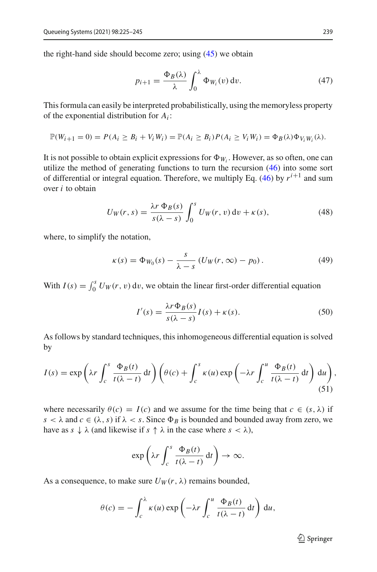the right-hand side should become zero; using [\(45\)](#page-14-3) we obtain

$$
p_{i+1} = \frac{\Phi_B(\lambda)}{\lambda} \int_0^{\lambda} \Phi_{W_i}(v) dv.
$$
 (47)

This formula can easily be interpreted probabilistically, using the memoryless property of the exponential distribution for *Ai* :

$$
\mathbb{P}(W_{i+1}=0)=P(A_i\geq B_i+V_iW_i)=\mathbb{P}(A_i\geq B_i)P(A_i\geq V_iW_i)=\Phi_B(\lambda)\Phi_{V_iW_i}(\lambda).
$$

It is not possible to obtain explicit expressions for  $\Phi_{W_i}$ . However, as so often, one can utilize the method of generating functions to turn the recursion [\(46\)](#page-14-2) into some sort of differential or integral equation. Therefore, we multiply Eq. [\(46\)](#page-14-2) by  $r^{i+1}$  and sum over *i* to obtain

<span id="page-15-2"></span>
$$
U_W(r,s) = \frac{\lambda r \, \Phi_B(s)}{s(\lambda - s)} \int_0^s U_W(r,v) \, \mathrm{d}v + \kappa(s),\tag{48}
$$

where, to simplify the notation,

$$
\kappa(s) = \Phi_{W_0}(s) - \frac{s}{\lambda - s} \left( U_W(r, \infty) - p_0 \right). \tag{49}
$$

With  $I(s) = \int_0^s U_W(r, v) dv$ , we obtain the linear first-order differential equation

<span id="page-15-1"></span><span id="page-15-0"></span>
$$
I'(s) = \frac{\lambda r \Phi_B(s)}{s(\lambda - s)} I(s) + \kappa(s).
$$
 (50)

As follows by standard techniques, this inhomogeneous differential equation is solved by

$$
I(s) = \exp\left(\lambda r \int_c^s \frac{\Phi_B(t)}{t(\lambda - t)} dt\right) \left(\theta(c) + \int_c^s \kappa(u) \exp\left(-\lambda r \int_c^u \frac{\Phi_B(t)}{t(\lambda - t)} dt\right) du\right),\tag{51}
$$

where necessarily  $\theta(c) = I(c)$  and we assume for the time being that  $c \in (s, \lambda)$  if  $s < \lambda$  and  $c \in (\lambda, s)$  if  $\lambda < s$ . Since  $\Phi_B$  is bounded and bounded away from zero, we have as  $s \downarrow \lambda$  (and likewise if  $s \uparrow \lambda$  in the case where  $s < \lambda$ ),

$$
\exp\left(\lambda r \int_c^s \frac{\Phi_B(t)}{t(\lambda - t)} dt\right) \to \infty.
$$

As a consequence, to make sure  $U_W(r, \lambda)$  remains bounded,

$$
\theta(c) = -\int_c^{\lambda} \kappa(u) \exp\left(-\lambda r \int_c^u \frac{\Phi_B(t)}{t(\lambda - t)} dt\right) du,
$$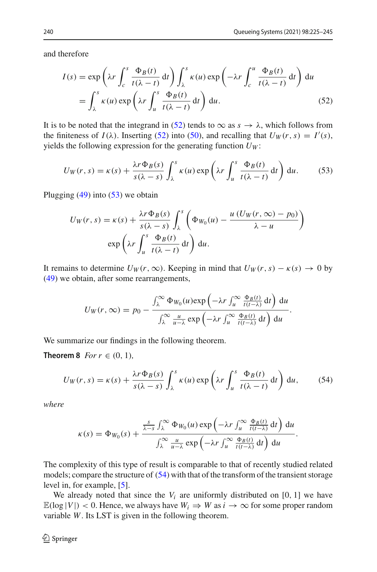and therefore

<span id="page-16-0"></span>
$$
I(s) = \exp\left(\lambda r \int_c^s \frac{\Phi_B(t)}{t(\lambda - t)} dt\right) \int_{\lambda}^s \kappa(u) \exp\left(-\lambda r \int_c^u \frac{\Phi_B(t)}{t(\lambda - t)} dt\right) du
$$
  
= 
$$
\int_{\lambda}^s \kappa(u) \exp\left(\lambda r \int_u^s \frac{\Phi_B(t)}{t(\lambda - t)} dt\right) du.
$$
 (52)

It is to be noted that the integrand in [\(52\)](#page-16-0) tends to  $\infty$  as  $s \to \lambda$ , which follows from the finiteness of  $I(\lambda)$ . Inserting [\(52\)](#page-16-0) into [\(50\)](#page-15-0), and recalling that  $U_W(r, s) = I'(s)$ , yields the following expression for the generating function  $U_W$ :

$$
U_W(r,s) = \kappa(s) + \frac{\lambda r \Phi_B(s)}{s(\lambda - s)} \int_{\lambda}^s \kappa(u) \exp\left(\lambda r \int_u^s \frac{\Phi_B(t)}{t(\lambda - t)} dt\right) du.
$$
 (53)

Plugging  $(49)$  into  $(53)$  we obtain

<span id="page-16-1"></span>
$$
U_W(r,s) = \kappa(s) + \frac{\lambda r \Phi_B(s)}{s(\lambda - s)} \int_{\lambda}^s \left( \Phi_{W_0}(u) - \frac{u (U_W(r, \infty) - p_0)}{\lambda - u} \right)
$$

$$
\exp\left(\lambda r \int_u^s \frac{\Phi_B(t)}{t(\lambda - t)} dt\right) du.
$$

It remains to determine  $U_W(r, \infty)$ . Keeping in mind that  $U_W(r, s) - \kappa(s) \to 0$  by [\(49\)](#page-15-1) we obtain, after some rearrangements,

<span id="page-16-2"></span>
$$
U_W(r,\infty) = p_0 - \frac{\int_{\lambda}^{\infty} \Phi_{W_0}(u) \exp\left(-\lambda r \int_u^{\infty} \frac{\Phi_B(t)}{t(t-\lambda)} dt\right) du}{\int_{\lambda}^{\infty} \frac{u}{u-\lambda} \exp\left(-\lambda r \int_u^{\infty} \frac{\Phi_B(t)}{t(t-\lambda)} dt\right) du}.
$$

We summarize our findings in the following theorem.

**Theorem 8** *For*  $r \in (0, 1)$ *,* 

$$
U_W(r,s) = \kappa(s) + \frac{\lambda r \Phi_B(s)}{s(\lambda - s)} \int_{\lambda}^s \kappa(u) \exp\left(\lambda r \int_u^s \frac{\Phi_B(t)}{t(\lambda - t)} dt\right) du, \tag{54}
$$

*where*

$$
\kappa(s) = \Phi_{W_0}(s) + \frac{\frac{s}{\lambda - s} \int_{\lambda}^{\infty} \Phi_{W_0}(u) \exp\left(-\lambda r \int_{u}^{\infty} \frac{\Phi_B(t)}{t(t - \lambda)} dt\right) du}{\int_{\lambda}^{\infty} \frac{u}{u - \lambda} \exp\left(-\lambda r \int_{u}^{\infty} \frac{\Phi_B(t)}{t(t - \lambda)} dt\right) du}.
$$

The complexity of this type of result is comparable to that of recently studied related models; compare the structure of [\(54\)](#page-16-2) with that of the transform of the transient storage level in, for example, [\[5\]](#page-20-5).

We already noted that since the  $V_i$  are uniformly distributed on [0, 1] we have  $\mathbb{E}(\log |V|) < 0$ . Hence, we always have  $W_i \Rightarrow W$  as  $i \to \infty$  for some proper random variable *W*. Its LST is given in the following theorem.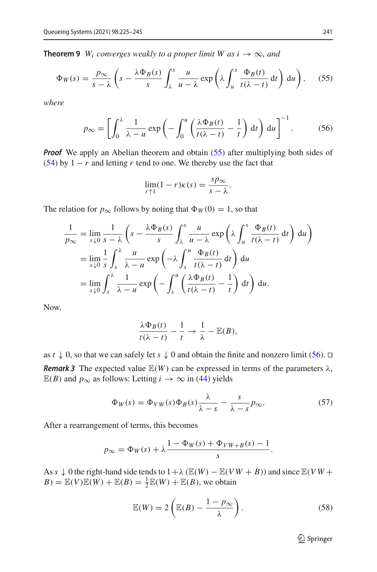**Theorem 9** *W<sub>i</sub> converges weakly to a proper limit W as*  $i \rightarrow \infty$ *, and* 

$$
\Phi_W(s) = \frac{p_{\infty}}{s - \lambda} \left( s - \frac{\lambda \Phi_B(s)}{s} \int_{\lambda}^s \frac{u}{u - \lambda} \exp\left( \lambda \int_u^s \frac{\Phi_B(t)}{t(\lambda - t)} dt \right) du \right), \quad (55)
$$

*where*

$$
p_{\infty} = \left[ \int_0^{\lambda} \frac{1}{\lambda - u} \exp\left( - \int_0^u \left( \frac{\lambda \Phi_B(t)}{t(\lambda - t)} - \frac{1}{t} \right) dt \right) du \right]^{-1}.
$$
 (56)

*Proof* We apply an Abelian theorem and obtain [\(55\)](#page-17-0) after multiplying both sides of [\(54\)](#page-16-2) by  $1 - r$  and letting *r* tend to one. We thereby use the fact that

<span id="page-17-1"></span><span id="page-17-0"></span>
$$
\lim_{r \uparrow 1} (1 - r)\kappa(s) = \frac{s p_{\infty}}{s - \lambda}.
$$

The relation for  $p_{\infty}$  follows by noting that  $\Phi_W(0) = 1$ , so that

$$
\frac{1}{p_{\infty}} = \lim_{s \downarrow 0} \frac{1}{s - \lambda} \left( s - \frac{\lambda \Phi_B(s)}{s} \int_{\lambda}^s \frac{u}{u - \lambda} \exp\left( \lambda \int_u^s \frac{\Phi_B(t)}{t (\lambda - t)} dt \right) du \right)
$$
  
\n
$$
= \lim_{s \downarrow 0} \frac{1}{s} \int_s^{\lambda} \frac{u}{\lambda - u} \exp\left( -\lambda \int_s^u \frac{\Phi_B(t)}{t (\lambda - t)} dt \right) du
$$
  
\n
$$
= \lim_{s \downarrow 0} \int_s^{\lambda} \frac{1}{\lambda - u} \exp\left( -\int_s^u \left( \frac{\lambda \Phi_B(t)}{t (\lambda - t)} - \frac{1}{t} \right) dt \right) du.
$$

Now,

$$
\frac{\lambda \Phi_B(t)}{t(\lambda - t)} - \frac{1}{t} \to \frac{1}{\lambda} - \mathbb{E}(B),
$$

as  $t \downarrow 0$ , so that we can safely let  $s \downarrow 0$  and obtain the finite and nonzero limit [\(56\)](#page-17-1).  $\Box$ *Remark 3* The expected value  $E(W)$  can be expressed in terms of the parameters  $\lambda$ ,  $\mathbb{E}(B)$  and  $p_{\infty}$  as follows: Letting *i* →  $\infty$  in [\(44\)](#page-14-1) yields

$$
\Phi_W(s) = \Phi_{VW}(s)\Phi_B(s)\frac{\lambda}{\lambda - s} - \frac{s}{\lambda - s}p_{\infty}.
$$
\n(57)

After a rearrangement of terms, this becomes

$$
p_{\infty} = \Phi_W(s) + \lambda \frac{1 - \Phi_W(s) + \Phi_{VW + B}(s) - 1}{s}.
$$

As  $s \downarrow 0$  the right-hand side tends to  $1 + \lambda$  ( $\mathbb{E}(W) - \mathbb{E}(VW + B)$ ) and since  $\mathbb{E}(VW + B)$  $B$ ) =  $\mathbb{E}(V)\mathbb{E}(W) + \mathbb{E}(B) = \frac{1}{2}\mathbb{E}(W) + \mathbb{E}(B)$ , we obtain

$$
\mathbb{E}(W) = 2\left(\mathbb{E}(B) - \frac{1 - p_{\infty}}{\lambda}\right). \tag{58}
$$

<span id="page-17-3"></span><span id="page-17-2"></span><sup>2</sup> Springer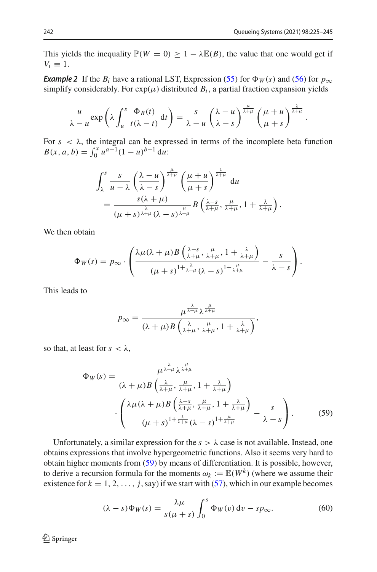.

This yields the inequality  $\mathbb{P}(W = 0) \geq 1 - \lambda \mathbb{E}(B)$ , the value that one would get if  $V_i \equiv 1$ .

*Example 2* If the  $B_i$  have a rational LST, Expression [\(55\)](#page-17-0) for  $\Phi_W(s)$  and [\(56\)](#page-17-1) for  $p_\infty$ simplify considerably. For  $exp(\mu)$  distributed  $B_i$ , a partial fraction expansion yields

$$
\frac{u}{\lambda - u} \exp\left(\lambda \int_u^s \frac{\Phi_B(t)}{t(\lambda - t)} dt\right) = \frac{s}{\lambda - u} \left(\frac{\lambda - u}{\lambda - s}\right)^{\frac{\mu}{\lambda + \mu}} \left(\frac{\mu + u}{\mu + s}\right)^{\frac{\lambda}{\lambda + \mu}}
$$

For  $s < \lambda$ , the integral can be expressed in terms of the incomplete beta function  $B(x, a, b) = \int_0^x u^{a-1}(1-u)^{b-1} du$ 

$$
\int_{\lambda}^{s} \frac{s}{u - \lambda} \left( \frac{\lambda - u}{\lambda - s} \right)^{\frac{\mu}{\lambda + \mu}} \left( \frac{\mu + u}{\mu + s} \right)^{\frac{\lambda}{\lambda + \mu}} du
$$
  
= 
$$
\frac{s(\lambda + \mu)}{(\mu + s)^{\frac{\lambda}{\lambda + \mu}} (\lambda - s)^{\frac{\mu}{\lambda + \mu}}} B\left( \frac{\lambda - s}{\lambda + \mu}, \frac{\mu}{\lambda + \mu}, 1 + \frac{\lambda}{\lambda + \mu} \right).
$$

We then obtain

$$
\Phi_W(s) = p_{\infty} \cdot \left( \frac{\lambda \mu(\lambda + \mu) B\left(\frac{\lambda - s}{\lambda + \mu}, \frac{\mu}{\lambda + \mu}, 1 + \frac{\lambda}{\lambda + \mu}\right)}{(\mu + s)^{1 + \frac{\lambda}{\lambda + \mu}} (\lambda - s)^{1 + \frac{\mu}{\lambda + \mu}}} - \frac{s}{\lambda - s} \right).
$$

This leads to

<span id="page-18-0"></span>
$$
p_{\infty} = \frac{\mu^{\frac{\lambda}{\lambda+\mu}}\lambda^{\frac{\mu}{\lambda+\mu}}}{(\lambda+\mu)B\left(\frac{\lambda}{\lambda+\mu}, \frac{\mu}{\lambda+\mu}, 1+\frac{\lambda}{\lambda+\mu}\right)},
$$

so that, at least for  $s < \lambda$ ,

$$
\Phi_W(s) = \frac{\mu^{\frac{\lambda}{\lambda+\mu}} \lambda^{\frac{\mu}{\lambda+\mu}}}{(\lambda+\mu)B\left(\frac{\lambda}{\lambda+\mu}, \frac{\mu}{\lambda+\mu}, 1+\frac{\lambda}{\lambda+\mu}\right)}
$$

$$
\cdot \left(\frac{\lambda \mu(\lambda+\mu)B\left(\frac{\lambda-s}{\lambda+\mu}, \frac{\mu}{\lambda+\mu}, 1+\frac{\lambda}{\lambda+\mu}\right)}{(\mu+s)^{1+\frac{\lambda}{\lambda+\mu}}(\lambda-s)^{1+\frac{\mu}{\lambda+\mu}}} - \frac{s}{\lambda-s}\right). \tag{59}
$$

Unfortunately, a similar expression for the  $s > \lambda$  case is not available. Instead, one obtains expressions that involve hypergeometric functions. Also it seems very hard to obtain higher moments from [\(59\)](#page-18-0) by means of differentiation. It is possible, however, to derive a recursion formula for the moments  $\omega_k := \mathbb{E}(W^k)$  (where we assume their existence for  $k = 1, 2, ..., j$ , say) if we start with [\(57\)](#page-17-2), which in our example becomes

<span id="page-18-1"></span>
$$
(\lambda - s)\Phi_W(s) = \frac{\lambda\mu}{s(\mu + s)} \int_0^s \Phi_W(v) dv - sp_\infty.
$$
 (60)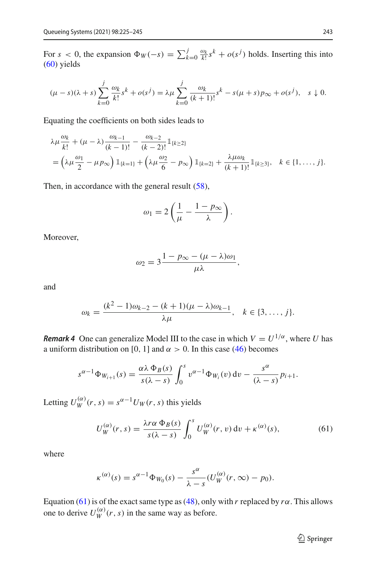For  $s < 0$ , the expansion  $\Phi_W(-s) = \sum_k^j$  $\int_{k=0}^{j} \frac{\omega_k}{k!} s^k + o(s^j)$  holds. Inserting this into [\(60\)](#page-18-1) yields

$$
(\mu - s)(\lambda + s) \sum_{k=0}^{j} \frac{\omega_k}{k!} s^k + o(s^j) = \lambda \mu \sum_{k=0}^{j} \frac{\omega_k}{(k+1)!} s^k - s(\mu + s) p_{\infty} + o(s^j), \quad s \downarrow 0.
$$

Equating the coefficients on both sides leads to

$$
\lambda \mu \frac{\omega_k}{k!} + (\mu - \lambda) \frac{\omega_{k-1}}{(k-1)!} - \frac{\omega_{k-2}}{(k-2)!} 1 \le \lambda_k
$$
  
=  $\left( \lambda \mu \frac{\omega_1}{2} - \mu p_{\infty} \right) 1 \le \lambda_k = 1} + \left( \lambda \mu \frac{\omega_2}{6} - p_{\infty} \right) 1 \le \lambda_k = 2} + \frac{\lambda \mu \omega_k}{(k+1)!} 1 \le \lambda_k \le \{1, \dots, j\}.$ 

Then, in accordance with the general result [\(58\)](#page-17-3).

$$
\omega_1 = 2\left(\frac{1}{\mu} - \frac{1 - p_{\infty}}{\lambda}\right).
$$

Moreover,

$$
\omega_2 = 3\frac{1 - p_{\infty} - (\mu - \lambda)\omega_1}{\mu\lambda},
$$

and

$$
\omega_k = \frac{(k^2 - 1)\omega_{k-2} - (k+1)(\mu - \lambda)\omega_{k-1}}{\lambda \mu}, \quad k \in \{3, ..., j\}.
$$

<span id="page-19-1"></span>*Remark 4* One can generalize Model III to the case in which  $V = U^{1/\alpha}$ , where *U* has a uniform distribution on [0, 1] and  $\alpha > 0$ . In this case [\(46\)](#page-14-2) becomes

$$
s^{\alpha-1}\Phi_{W_{i+1}}(s)=\frac{\alpha\lambda\,\Phi_B(s)}{s(\lambda-s)}\int_0^s v^{\alpha-1}\Phi_{W_i}(v)\,\mathrm{d}v-\frac{s^\alpha}{(\lambda-s)}p_{i+1}.
$$

Letting  $U_W^{(\alpha)}(r, s) = s^{\alpha - 1}U_W(r, s)$  this yields

$$
U_W^{(\alpha)}(r,s) = \frac{\lambda r \alpha \Phi_B(s)}{s(\lambda - s)} \int_0^s U_W^{(\alpha)}(r,v) \, dv + \kappa^{(\alpha)}(s),\tag{61}
$$

where

$$
\kappa^{(\alpha)}(s) = s^{\alpha-1} \Phi_{W_0}(s) - \frac{s^{\alpha}}{\lambda - s} (U_W^{(\alpha)}(r, \infty) - p_0).
$$

Equation [\(61\)](#page-19-0) is of the exact same type as [\(48\)](#page-15-2), only with *r* replaced by  $r\alpha$ . This allows one to derive  $U_{W}^{(\alpha)}(r, s)$  in the same way as before.

<span id="page-19-0"></span><sup>2</sup> Springer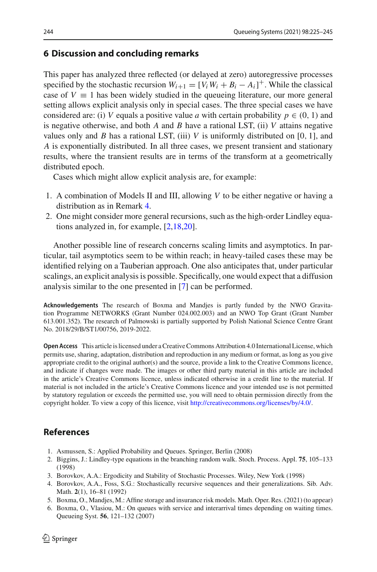#### <span id="page-20-4"></span>**6 Discussion and concluding remarks**

This paper has analyzed three reflected (or delayed at zero) autoregressive processes specified by the stochastic recursion  $W_{i+1} = [V_i W_i + B_i - A_i]^+$ . While the classical case of  $V \equiv 1$  has been widely studied in the queueing literature, our more general setting allows explicit analysis only in special cases. The three special cases we have considered are: (i) *V* equals a positive value *a* with certain probability  $p \in (0, 1)$  and is negative otherwise, and both *A* and *B* have a rational LST, (ii) *V* attains negative values only and *B* has a rational LST, (iii) *V* is uniformly distributed on [0, 1], and *A* is exponentially distributed. In all three cases, we present transient and stationary results, where the transient results are in terms of the transform at a geometrically distributed epoch.

Cases which might allow explicit analysis are, for example:

- 1. A combination of Models II and III, allowing *V* to be either negative or having a distribution as in Remark [4.](#page-19-1)
- 2. One might consider more general recursions, such as the high-order Lindley equations analyzed in, for example, [\[2](#page-20-6)[,18](#page-21-16)[,20](#page-21-17)].

Another possible line of research concerns scaling limits and asymptotics. In particular, tail asymptotics seem to be within reach; in heavy-tailed cases these may be identified relying on a Tauberian approach. One also anticipates that, under particular scalings, an explicit analysis is possible. Specifically, one would expect that a diffusion analysis similar to the one presented in [\[7](#page-21-0)] can be performed.

**Acknowledgements** The research of Boxma and Mandjes is partly funded by the NWO Gravitation Programme NETWORKS (Grant Number 024.002.003) and an NWO Top Grant (Grant Number 613.001.352). The research of Palmowski is partially supported by Polish National Science Centre Grant No. 2018/29/B/ST1/00756, 2019-2022.

**Open Access** This article is licensed under a Creative Commons Attribution 4.0 International License, which permits use, sharing, adaptation, distribution and reproduction in any medium or format, as long as you give appropriate credit to the original author(s) and the source, provide a link to the Creative Commons licence, and indicate if changes were made. The images or other third party material in this article are included in the article's Creative Commons licence, unless indicated otherwise in a credit line to the material. If material is not included in the article's Creative Commons licence and your intended use is not permitted by statutory regulation or exceeds the permitted use, you will need to obtain permission directly from the copyright holder. To view a copy of this licence, visit [http://creativecommons.org/licenses/by/4.0/.](http://creativecommons.org/licenses/by/4.0/)

#### **References**

- <span id="page-20-0"></span>1. Asmussen, S.: Applied Probability and Queues. Springer, Berlin (2008)
- <span id="page-20-6"></span>2. Biggins, J.: Lindley-type equations in the branching random walk. Stoch. Process. Appl. **75**, 105–133 (1998)
- <span id="page-20-2"></span>3. Borovkov, A.A.: Ergodicity and Stability of Stochastic Processes. Wiley, New York (1998)
- <span id="page-20-1"></span>4. Borovkov, A.A., Foss, S.G.: Stochastically recursive sequences and their generalizations. Sib. Adv. Math. **2**(1), 16–81 (1992)
- <span id="page-20-5"></span>5. Boxma, O., Mandjes, M.: Affine storage and insurance risk models. Math. Oper. Res. (2021) (to appear)
- <span id="page-20-3"></span>6. Boxma, O., Vlasiou, M.: On queues with service and interarrival times depending on waiting times. Queueing Syst. **56**, 121–132 (2007)